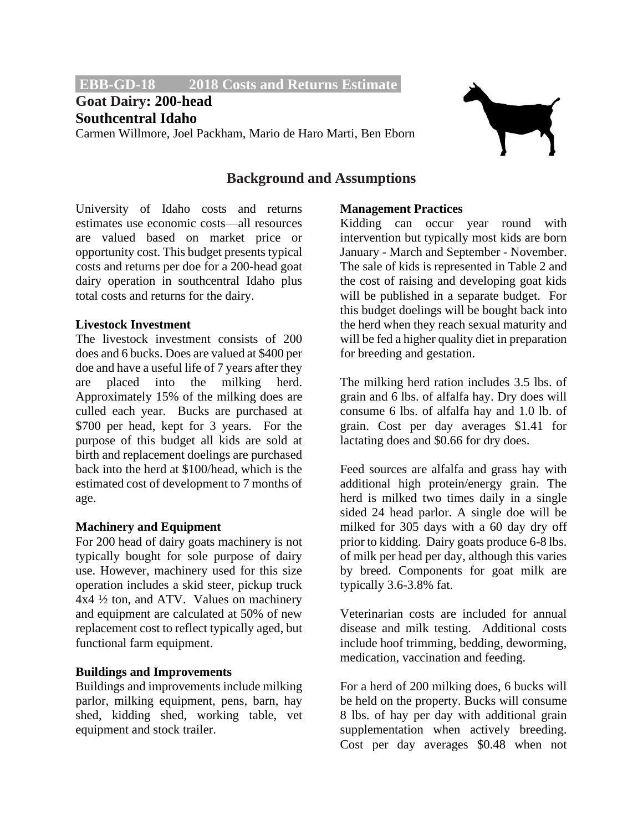**EBB-GD-18 2018 Costs and Returns Estimate.**

## **Goat Dairy: 200-head Southcentral Idaho**

Carmen Willmore, Joel Packham, Mario de Haro Marti, Ben Eborn



### **Background and Assumptions**

University of Idaho costs and returns estimates use economic costs—all resources are valued based on market price or opportunity cost. This budget presents typical costs and returns per doe for a 200-head goat dairy operation in southcentral Idaho plus total costs and returns for the dairy.

#### **Livestock Investment**

The livestock investment consists of 200 does and 6 bucks. Does are valued at \$400 per doe and have a useful life of 7 years after they are placed into the milking herd. Approximately 15% of the milking does are culled each year. Bucks are purchased at \$700 per head, kept for 3 years. For the purpose of this budget all kids are sold at birth and replacement doelings are purchased back into the herd at \$100/head, which is the estimated cost of development to 7 months of age.

#### **Machinery and Equipment**

For 200 head of dairy goats machinery is not typically bought for sole purpose of dairy use. However, machinery used for this size operation includes a skid steer, pickup truck 4x4 ½ ton, and ATV. Values on machinery and equipment are calculated at 50% of new replacement cost to reflect typically aged, but functional farm equipment.

#### **Buildings and Improvements**

Buildings and improvements include milking parlor, milking equipment, pens, barn, hay shed, kidding shed, working table, vet equipment and stock trailer.

#### **Management Practices**

Kidding can occur year round with intervention but typically most kids are born January - March and September - November. The sale of kids is represented in Table 2 and the cost of raising and developing goat kids will be published in a separate budget. For this budget doelings will be bought back into the herd when they reach sexual maturity and will be fed a higher quality diet in preparation for breeding and gestation.

The milking herd ration includes 3.5 lbs. of grain and 6 lbs. of alfalfa hay. Dry does will consume 6 lbs. of alfalfa hay and 1.0 lb. of grain. Cost per day averages \$1.41 for lactating does and \$0.66 for dry does.

Feed sources are alfalfa and grass hay with additional high protein/energy grain. The herd is milked two times daily in a single sided 24 head parlor. A single doe will be milked for 305 days with a 60 day dry off prior to kidding. Dairy goats produce 6-8 lbs. of milk per head per day, although this varies by breed. Components for goat milk are typically 3.6-3.8% fat.

Veterinarian costs are included for annual disease and milk testing. Additional costs include hoof trimming, bedding, deworming, medication, vaccination and feeding.

For a herd of 200 milking does, 6 bucks will be held on the property. Bucks will consume 8 lbs. of hay per day with additional grain supplementation when actively breeding. Cost per day averages \$0.48 when not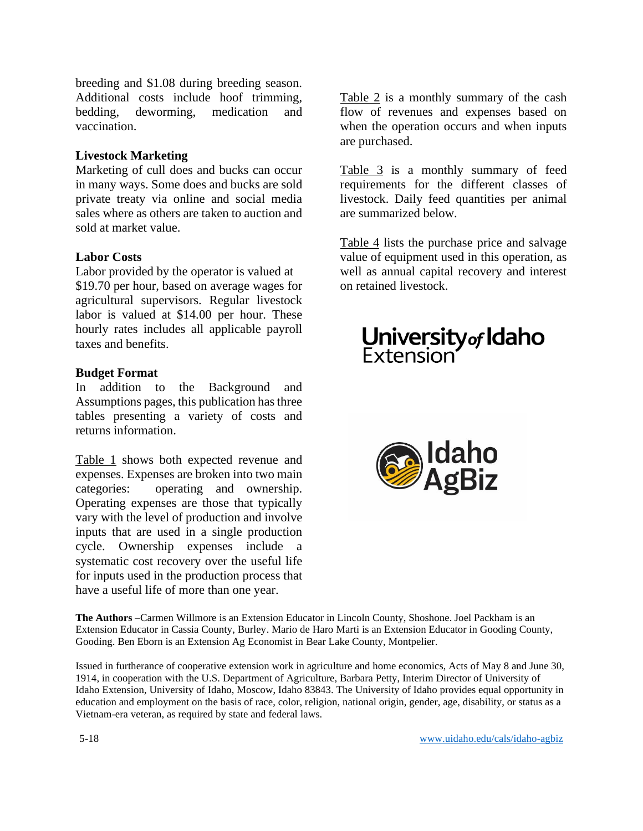breeding and \$1.08 during breeding season. Additional costs include hoof trimming, bedding, deworming, medication and vaccination.

#### **Livestock Marketing**

Marketing of cull does and bucks can occur in many ways. Some does and bucks are sold private treaty via online and social media sales where as others are taken to auction and sold at market value.

#### **Labor Costs**

Labor provided by the operator is valued at \$19.70 per hour, based on average wages for agricultural supervisors. Regular livestock labor is valued at \$14.00 per hour. These hourly rates includes all applicable payroll taxes and benefits.

#### **Budget Format**

In addition to the Background and Assumptions pages, this publication has three tables presenting a variety of costs and returns information.

Table 1 shows both expected revenue and expenses. Expenses are broken into two main categories: operating and ownership. Operating expenses are those that typically vary with the level of production and involve inputs that are used in a single production cycle. Ownership expenses include a systematic cost recovery over the useful life for inputs used in the production process that have a useful life of more than one year.

Table 2 is a monthly summary of the cash flow of revenues and expenses based on when the operation occurs and when inputs are purchased.

Table 3 is a monthly summary of feed requirements for the different classes of livestock. Daily feed quantities per animal are summarized below.

Table 4 lists the purchase price and salvage value of equipment used in this operation, as well as annual capital recovery and interest on retained livestock.

# **University of Idaho**<br>Extension



**The Authors** –Carmen Willmore is an Extension Educator in Lincoln County, Shoshone. Joel Packham is an Extension Educator in Cassia County, Burley. Mario de Haro Marti is an Extension Educator in Gooding County, Gooding. Ben Eborn is an Extension Ag Economist in Bear Lake County, Montpelier.

Issued in furtherance of cooperative extension work in agriculture and home economics, Acts of May 8 and June 30, 1914, in cooperation with the U.S. Department of Agriculture, Barbara Petty, Interim Director of University of Idaho Extension, University of Idaho, Moscow, Idaho 83843. The University of Idaho provides equal opportunity in education and employment on the basis of race, color, religion, national origin, gender, age, disability, or status as a Vietnam-era veteran, as required by state and federal laws.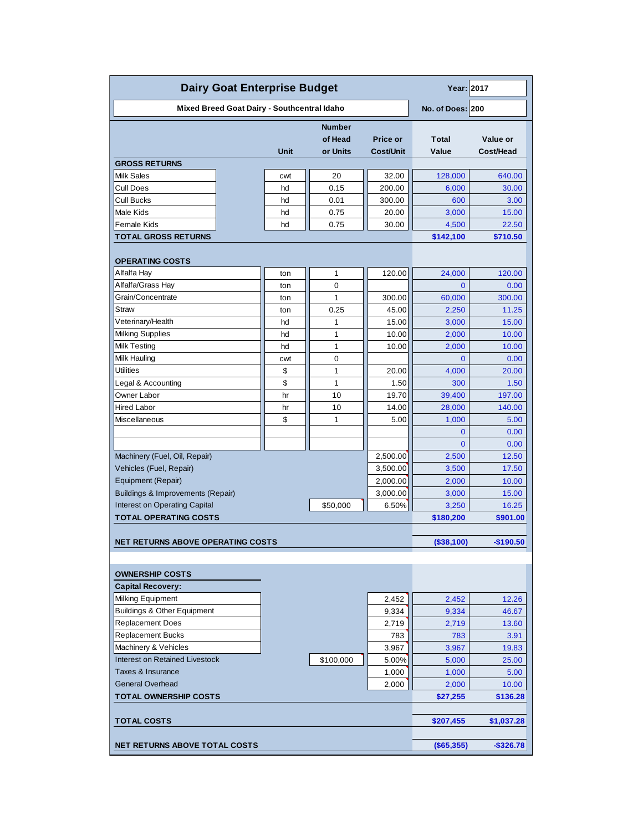| <b>Dairy Goat Enterprise Budget</b>          | Year: 2017       |               |                |                |              |  |  |  |  |
|----------------------------------------------|------------------|---------------|----------------|----------------|--------------|--|--|--|--|
| Mixed Breed Goat Dairy - Southcentral Idaho  | No. of Does: 200 |               |                |                |              |  |  |  |  |
|                                              |                  | <b>Number</b> |                |                |              |  |  |  |  |
|                                              |                  | of Head       | Price or       | <b>Total</b>   | Value or     |  |  |  |  |
|                                              | Unit             | or Units      | Cost/Unit      | Value          | Cost/Head    |  |  |  |  |
| <b>GROSS RETURNS</b>                         |                  |               |                |                |              |  |  |  |  |
| <b>Milk Sales</b>                            | cwt              | 20            | 32.00          | 128,000        | 640.00       |  |  |  |  |
| Cull Does                                    | hd               | 0.15          | 200.00         | 6,000          | 30.00        |  |  |  |  |
| Cull Bucks                                   | hd               | 0.01          | 300.00         | 600            | 3.00         |  |  |  |  |
| Male Kids                                    | hd               | 0.75          | 20.00          | 3,000          | 15.00        |  |  |  |  |
| Female Kids                                  | hd               | 0.75          | 30.00          | 4,500          | 22.50        |  |  |  |  |
| TOTAL GROSS RETURNS                          |                  |               |                | \$142,100      | \$710.50     |  |  |  |  |
| <b>OPERATING COSTS</b>                       |                  |               |                |                |              |  |  |  |  |
| Alfalfa Hay                                  | ton              | 1             | 120.00         | 24,000         | 120.00       |  |  |  |  |
| Alfalfa/Grass Hay                            | ton              | 0             |                | $\overline{0}$ | 0.00         |  |  |  |  |
| Grain/Concentrate                            | ton              | 1             | 300.00         | 60,000         | 300.00       |  |  |  |  |
| Straw                                        | ton              | 0.25          | 45.00          | 2,250          | 11.25        |  |  |  |  |
| Veterinary/Health                            | hd               | 1             | 15.00          | 3,000          | 15.00        |  |  |  |  |
| <b>Milking Supplies</b>                      | hd               | 1             | 10.00          | 2,000          | 10.00        |  |  |  |  |
| Milk Testing                                 | hd               | 1             | 10.00          | 2,000          | 10.00        |  |  |  |  |
| Milk Hauling                                 | cwt              | 0             |                | 0              | 0.00         |  |  |  |  |
| <b>Utilities</b>                             | \$               | 1             | 20.00          | 4,000          | 20.00        |  |  |  |  |
| Legal & Accounting                           | \$               | 1             | 1.50           | 300            | 1.50         |  |  |  |  |
| Owner Labor                                  | hr               | 10            | 19.70          | 39,400         | 197.00       |  |  |  |  |
| Hired Labor                                  | hr               | 10            | 14.00          | 28,000         | 140.00       |  |  |  |  |
| Miscellaneous                                | \$               | 1             | 5.00           | 1,000          | 5.00         |  |  |  |  |
|                                              |                  |               |                | $\mathbf 0$    | 0.00         |  |  |  |  |
|                                              |                  |               |                | $\Omega$       | 0.00         |  |  |  |  |
| Machinery (Fuel, Oil, Repair)                |                  |               | 2,500.00       | 2,500          | 12.50        |  |  |  |  |
| Vehicles (Fuel, Repair)                      |                  |               | 3,500.00       | 3,500          | 17.50        |  |  |  |  |
| Equipment (Repair)                           |                  |               | 2,000.00       | 2,000          | 10.00        |  |  |  |  |
| <b>Buildings &amp; Improvements (Repair)</b> |                  |               | 3,000.00       | 3,000          | 15.00        |  |  |  |  |
| Interest on Operating Capital                |                  | \$50,000      | 6.50%          | 3,250          | 16.25        |  |  |  |  |
| <b>TOTAL OPERATING COSTS</b>                 |                  |               |                | \$180,200      | \$901.00     |  |  |  |  |
|                                              |                  |               |                |                |              |  |  |  |  |
| NET RETURNS ABOVE OPERATING COSTS            |                  |               |                | (S38,100)      | $-$190.50$   |  |  |  |  |
|                                              |                  |               |                |                |              |  |  |  |  |
| <b>OWNERSHIP COSTS</b>                       |                  |               |                |                |              |  |  |  |  |
| <b>Capital Recovery:</b>                     |                  |               |                |                |              |  |  |  |  |
| Milking Equipment                            |                  |               | 2,452          | 2,452          | 12.26        |  |  |  |  |
| <b>Buildings &amp; Other Equipment</b>       |                  |               | 9,334          | 9,334          | 46.67        |  |  |  |  |
| <b>Replacement Does</b>                      |                  |               | 2,719          | 2,719          | 13.60        |  |  |  |  |
| <b>Replacement Bucks</b>                     |                  |               | 783            | 783            | 3.91         |  |  |  |  |
| Machinery & Vehicles                         |                  |               | 3,967          | 3,967          | 19.83        |  |  |  |  |
| <b>Interest on Retained Livestock</b>        |                  | \$100,000     | 5.00%          | 5,000          | 25.00        |  |  |  |  |
| Taxes & Insurance<br><b>General Overhead</b> |                  |               | 1,000<br>2,000 | 1,000          | 5.00         |  |  |  |  |
|                                              |                  |               |                | 2,000          | 10.00        |  |  |  |  |
| <b>TOTAL OWNERSHIP COSTS</b>                 |                  |               |                | \$27,255       | \$136.28     |  |  |  |  |
| <b>TOTAL COSTS</b>                           | \$207,455        | \$1,037.28    |                |                |              |  |  |  |  |
| <b>NET RETURNS ABOVE TOTAL COSTS</b>         |                  |               |                | (\$65,355)     | $-$ \$326.78 |  |  |  |  |
|                                              |                  |               |                |                |              |  |  |  |  |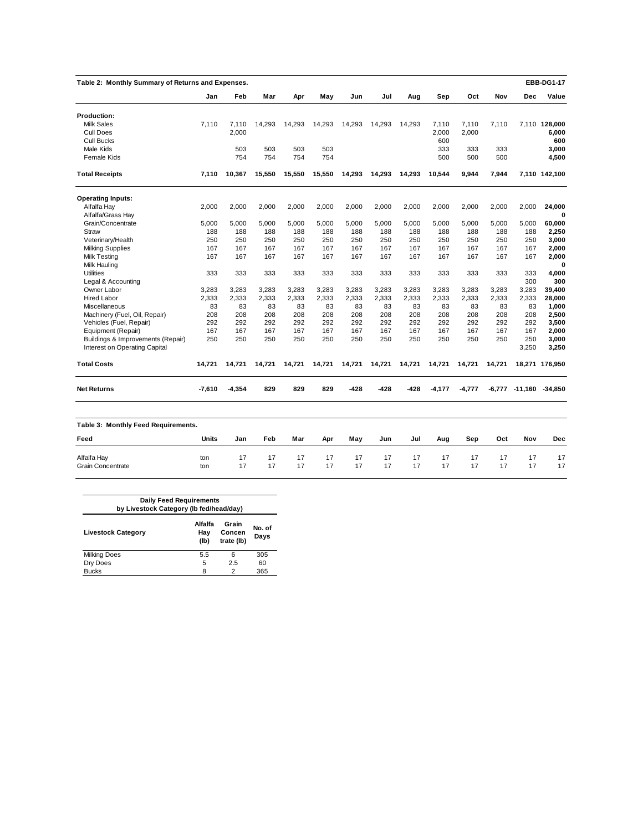| Table 2: Monthly Summary of Returns and Expenses. |              |          |        |        |        |        |        |        |          |          |        |                        | <b>EBB-DG1-17</b> |
|---------------------------------------------------|--------------|----------|--------|--------|--------|--------|--------|--------|----------|----------|--------|------------------------|-------------------|
|                                                   | Jan          | Feb      | Mar    | Apr    | May    | Jun    | Jul    | Aug    | Sep      | Oct      | Nov    | Dec                    | Value             |
| <b>Production:</b>                                |              |          |        |        |        |        |        |        |          |          |        |                        |                   |
| <b>Milk Sales</b>                                 | 7.110        | 7,110    | 14,293 | 14,293 | 14,293 | 14,293 | 14,293 | 14,293 | 7,110    | 7,110    | 7,110  |                        | 7,110 128,000     |
| <b>Cull Does</b>                                  |              | 2,000    |        |        |        |        |        |        | 2,000    | 2.000    |        |                        | 6,000             |
| <b>Cull Bucks</b>                                 |              |          |        |        |        |        |        |        | 600      |          |        |                        | 600               |
| Male Kids                                         |              | 503      | 503    | 503    | 503    |        |        |        | 333      | 333      | 333    |                        | 3,000             |
|                                                   |              | 754      | 754    |        | 754    |        |        |        |          | 500      | 500    |                        |                   |
| <b>Female Kids</b>                                |              |          |        | 754    |        |        |        |        | 500      |          |        |                        | 4,500             |
| <b>Total Receipts</b>                             | 7,110        | 10,367   | 15,550 | 15,550 | 15,550 | 14,293 | 14,293 | 14,293 | 10,544   | 9,944    | 7,944  |                        | 7,110 142,100     |
| <b>Operating Inputs:</b>                          |              |          |        |        |        |        |        |        |          |          |        |                        |                   |
| Alfalfa Hay                                       | 2,000        | 2,000    | 2,000  | 2,000  | 2,000  | 2,000  | 2,000  | 2,000  | 2,000    | 2,000    | 2,000  | 2,000                  | 24,000            |
| Alfalfa/Grass Hay                                 |              |          |        |        |        |        |        |        |          |          |        |                        | 0                 |
| Grain/Concentrate                                 | 5,000        | 5,000    | 5,000  | 5,000  | 5,000  | 5,000  | 5.000  | 5,000  | 5,000    | 5,000    | 5,000  | 5,000                  | 60,000            |
| <b>Straw</b>                                      | 188          | 188      | 188    | 188    | 188    | 188    | 188    | 188    | 188      | 188      | 188    | 188                    | 2,250             |
| Veterinary/Health                                 | 250          | 250      | 250    | 250    | 250    | 250    | 250    | 250    | 250      | 250      | 250    | 250                    | 3,000             |
| <b>Milking Supplies</b>                           | 167          | 167      | 167    | 167    | 167    | 167    | 167    | 167    | 167      | 167      | 167    | 167                    | 2,000             |
| <b>Milk Testing</b>                               | 167          | 167      | 167    | 167    | 167    | 167    | 167    | 167    | 167      | 167      | 167    | 167                    | 2,000             |
| Milk Hauling                                      |              |          |        |        |        |        |        |        |          |          |        |                        | $\bf{0}$          |
| Utilities                                         | 333          | 333      | 333    | 333    | 333    | 333    | 333    | 333    | 333      | 333      | 333    | 333                    | 4,000             |
| Legal & Accounting                                |              |          |        |        |        |        |        |        |          |          |        | 300                    | 300               |
| Owner Labor                                       | 3,283        | 3,283    | 3,283  | 3,283  | 3,283  | 3,283  | 3,283  | 3,283  | 3,283    | 3,283    | 3,283  | 3,283                  | 39,400            |
| <b>Hired Labor</b>                                | 2,333        | 2,333    | 2,333  | 2,333  | 2,333  | 2,333  | 2,333  | 2,333  | 2,333    | 2,333    | 2,333  | 2,333                  | 28,000            |
| Miscellaneous                                     | 83           | 83       | 83     | 83     | 83     | 83     | 83     | 83     | 83       | 83       | 83     | 83                     | 1,000             |
| Machinery (Fuel, Oil, Repair)                     | 208          | 208      | 208    | 208    | 208    | 208    | 208    | 208    | 208      | 208      | 208    | 208                    | 2,500             |
| Vehicles (Fuel, Repair)                           | 292          | 292      | 292    | 292    | 292    | 292    | 292    | 292    | 292      | 292      | 292    | 292                    | 3,500             |
| Equipment (Repair)                                | 167          | 167      | 167    | 167    | 167    | 167    | 167    | 167    | 167      | 167      | 167    | 167                    | 2,000             |
| Buildings & Improvements (Repair)                 | 250          | 250      | 250    | 250    | 250    | 250    | 250    | 250    | 250      | 250      | 250    | 250                    | 3,000             |
| Interest on Operating Capital                     |              |          |        |        |        |        |        |        |          |          |        | 3,250                  | 3,250             |
| <b>Total Costs</b>                                | 14,721       | 14,721   | 14,721 | 14,721 | 14,721 | 14,721 | 14,721 | 14,721 | 14,721   | 14,721   | 14,721 |                        | 18,271 176,950    |
| <b>Net Returns</b>                                | $-7.610$     | $-4,354$ | 829    | 829    | 829    | -428   | $-428$ | -428   | $-4,177$ | $-4,777$ |        | -6,777 -11,160 -34,850 |                   |
| Table 3: Monthly Feed Requirements.               |              |          |        |        |        |        |        |        |          |          |        |                        |                   |
| Feed                                              | <b>Units</b> | Jan      | Feb    | Mar    | Apr    | May    | Jun    | Jul    | Aug      | Sep      | Oct    | Nov                    | Dec               |
|                                                   |              |          |        |        |        |        |        |        |          |          |        |                        |                   |
| Alfalfa Hay                                       | ton          | 17       | 17     | 17     | 17     | 17     | 17     | 17     | 17       | 17       | 17     | 17                     | 17                |
| <b>Grain Concentrate</b>                          | ton          | 17       | 17     | 17     | 17     | 17     | 17     | 17     | 17       | 17       | 17     | 17                     | 17                |

| <b>Daily Feed Requirements</b><br>by Livestock Category (Ib fed/head/day) |                        |                               |                |  |  |  |  |
|---------------------------------------------------------------------------|------------------------|-------------------------------|----------------|--|--|--|--|
| <b>Livestock Category</b>                                                 | Alfalfa<br>Hay<br>(Ib) | Grain<br>Concen<br>trate (lb) | No. of<br>Days |  |  |  |  |
| <b>Milking Does</b>                                                       | 5.5                    | 6                             | 305            |  |  |  |  |
| Dry Does                                                                  | 5                      | 2.5                           | 60             |  |  |  |  |
| <b>Bucks</b>                                                              | 8                      | 2                             | 365            |  |  |  |  |